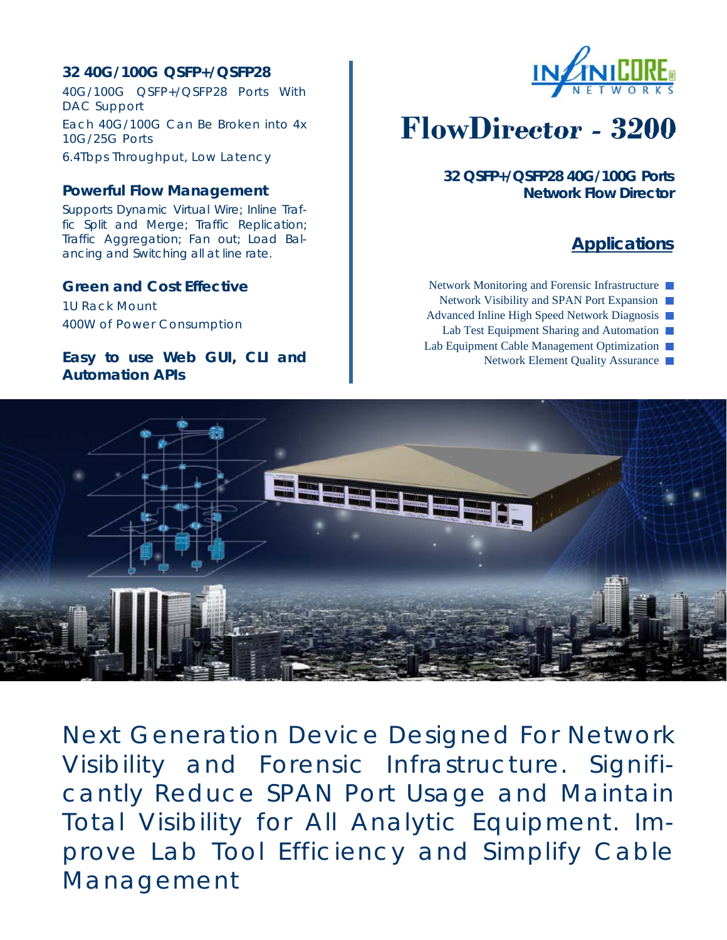# **32 40G/100G QSFP+/QSFP28**

40G/100G QSFP+/QSFP28 Ports With DAC Support Each 40G/100G Can Be Broken into 4x 10G/25G Ports 6.4Tbps Throughput, Low Latency

### **Powerful Flow Management**

Supports Dynamic Virtual Wire; Inline Traffic Split and Merge; Traffic Replication; Traffic Aggregation; Fan out; Load Balancing and Switching all at line rate.

## **Green and Cost Effective**

1U Rack Mount 400W of Power Consumption

## **Easy to use Web GUI, CLI and Automation APIs**



# **FlowDirector - 3200**

**32 QSFP+/QSFP28 40G/100G Ports Network Flow Director** 

# **Applications**

Network Monitoring and Forensic Infrastructure ■ Network Visibility and SPAN Port Expansion Advanced Inline High Speed Network Diagnosis

- Lab Test Equipment Sharing and Automation
- Lab Equipment Cable Management Optimization
	- Network Element Quality Assurance ■



Next Generation Device Designed For Network Visibility and Forensic Infrastructure. Significantly Reduce SPAN Port Usage and Maintain Total Visibility for All Analytic Equipment. Improve Lab Tool Efficiency and Simplify Cable Management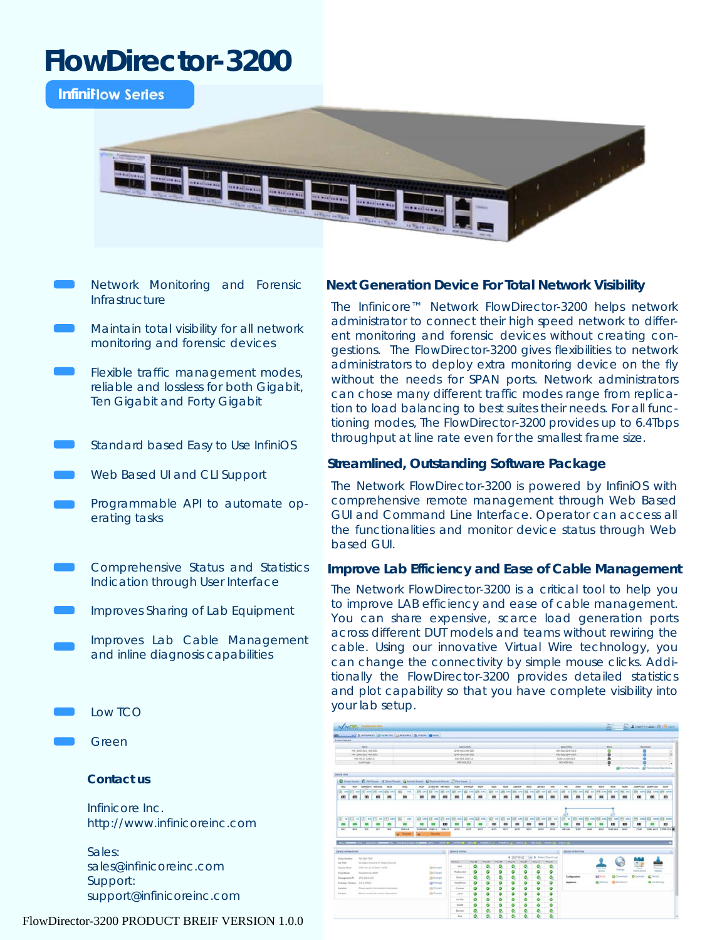# **FlowDirector-3200**

**InfiniFlow Series** 



- Network Monitoring and Forensic Infrastructure
- Maintain total visibility for all network monitoring and forensic devices
- Flexible traffic management modes, reliable and lossless for both Gigabit, Ten Gigabit and Forty Gigabit
- Standard based Easy to Use InfiniOS
- Web Based UI and CLI Support
- Programmable API to automate operating tasks
- Comprehensive Status and Statistics Indication through User Interface
- Improves Sharing of Lab Equipment
	- Improves Lab Cable Management and inline diagnosis capabilities
- Low TCO
- Green

#### **Contact us**

Infinicore Inc. http://www.infinicoreinc.com

Sales: sales@infinicoreinc.com Support: support@infinicoreinc.com

#### FlowDirector-3200 PRODUCT BREIF VERSION 1.0.0

#### **Next Generation Device For Total Network Visibility**

The Infinicore™ Network FlowDirector-3200 helps network administrator to connect their high speed network to different monitoring and forensic devices without creating congestions. The FlowDirector-3200 gives flexibilities to network administrators to deploy extra monitoring device on the fly without the needs for SPAN ports. Network administrators can chose many different traffic modes range from replication to load balancing to best suites their needs. For all functioning modes, The FlowDirector-3200 provides up to 6.4Tbps throughput at line rate even for the smallest frame size.

#### **Streamlined, Outstanding Software Package**

The Network FlowDirector-3200 is powered by InfiniOS with comprehensive remote management through Web Based GUI and Command Line Interface. Operator can access all the functionalities and monitor device status through Web based GUI.

#### **Improve Lab Efficiency and Ease of Cable Management**

The Network FlowDirector-3200 is a critical tool to help you to improve LAB efficiency and ease of cable management. You can share expensive, scarce load generation ports across different DUT models and teams without rewiring the cable. Using our innovative Virtual Wire technology, you can change the connectivity by simple mouse clicks. Additionally the FlowDirector-3200 provides detailed statistics and plot capability so that you have complete visibility into your lab setup.

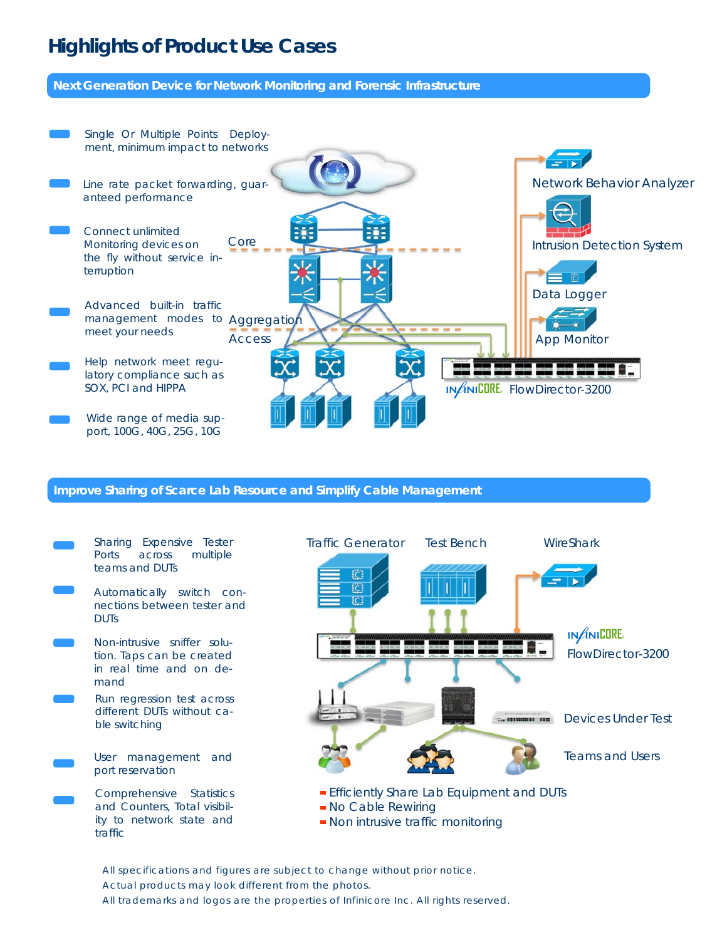# **Highlights of Product Use Cases**

**Next Generation Device for Network Monitoring and Forensic Infrastructure** 



#### **Improve Sharing of Scarce Lab Resource and Simplify Cable Management**



All specifications and figures are subject to change without prior notice. Actual products may look different from the photos. All trademarks and logos are the properties of Infinicore Inc. All rights reserved.